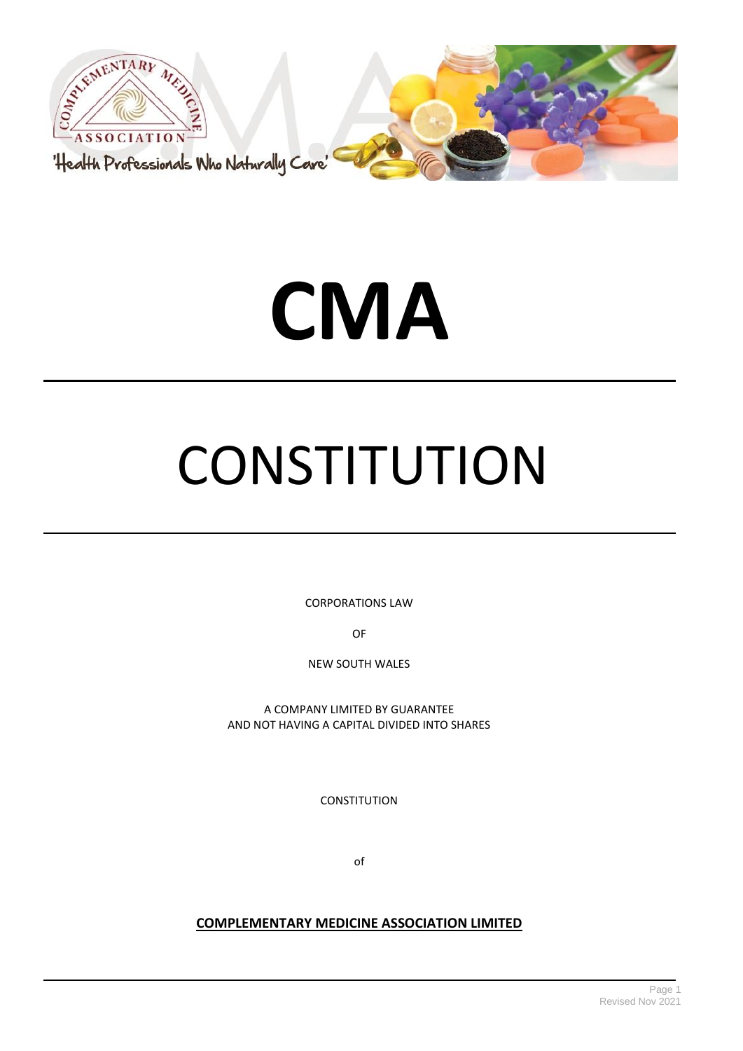



# **CMA**

# **CONSTITUTION**

CORPORATIONS LAW

OF

NEW SOUTH WALES

A COMPANY LIMITED BY GUARANTEE AND NOT HAVING A CAPITAL DIVIDED INTO SHARES

**CONSTITUTION** 

of

# **COMPLEMENTARY MEDICINE ASSOCIATION LIMITED**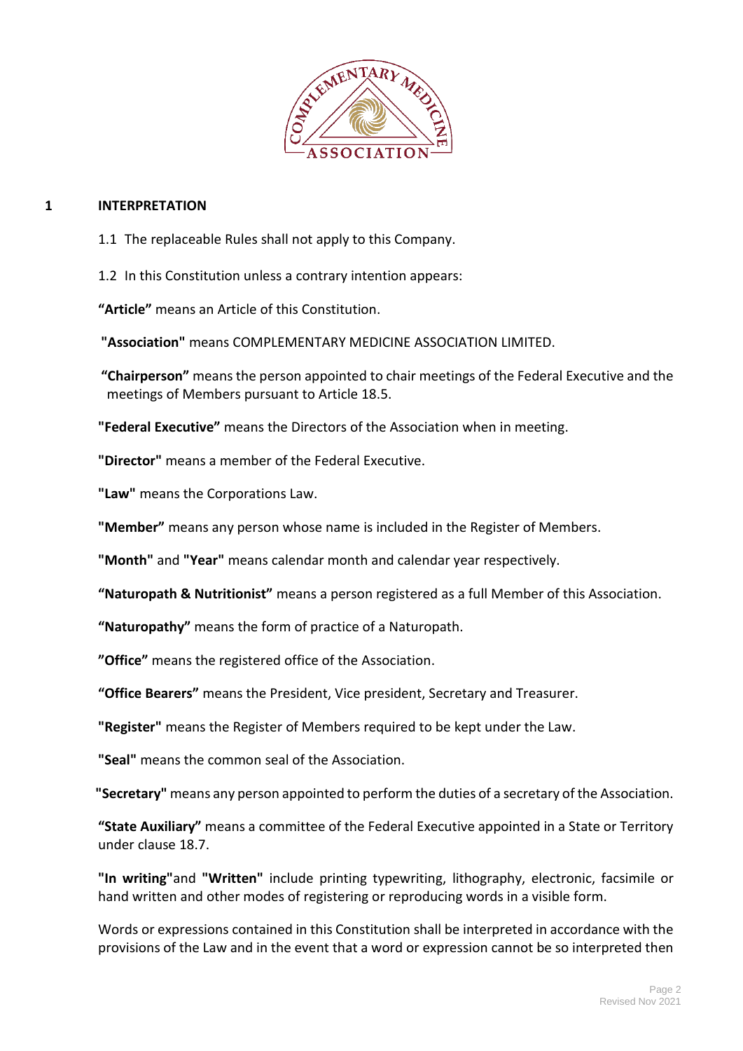

# **1 INTERPRETATION**

- 1.1 The replaceable Rules shall not apply to this Company.
- 1.2 In this Constitution unless a contrary intention appears:

**"Article"** means an Article of this Constitution.

**"Association"** means COMPLEMENTARY MEDICINE ASSOCIATION LIMITED.

**"Chairperson"** means the person appointed to chair meetings of the Federal Executive and the meetings of Members pursuant to Article 18.5.

**"Federal Executive"** means the Directors of the Association when in meeting.

**"Director"** means a member of the Federal Executive.

**"Law"** means the Corporations Law.

**"Member"** means any person whose name is included in the Register of Members.

**"Month"** and **"Year"** means calendar month and calendar year respectively.

**"Naturopath & Nutritionist"** means a person registered as a full Member of this Association.

**"Naturopathy"** means the form of practice of a Naturopath.

**"Office"** means the registered office of the Association.

**"Office Bearers"** means the President, Vice president, Secretary and Treasurer.

**"Register"** means the Register of Members required to be kept under the Law.

**"Seal"** means the common seal of the Association.

**"Secretary"** means any person appointed to perform the duties of a secretary of the Association.

**"State Auxiliary"** means a committee of the Federal Executive appointed in a State or Territory under clause 18.7.

**"In writing"**and **"Written"** include printing typewriting, lithography, electronic, facsimile or hand written and other modes of registering or reproducing words in a visible form.

Words or expressions contained in this Constitution shall be interpreted in accordance with the provisions of the Law and in the event that a word or expression cannot be so interpreted then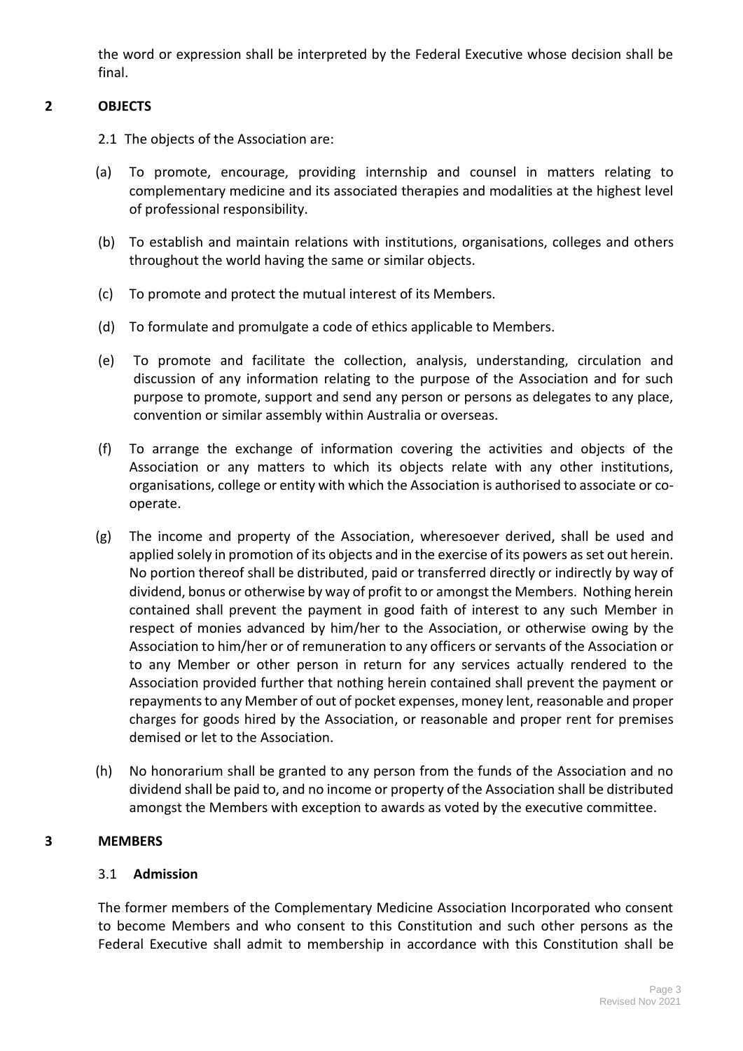the word or expression shall be interpreted by the Federal Executive whose decision shall be final.

# **2 OBJECTS**

- 2.1 The objects of the Association are:
- (a) To promote, encourage, providing internship and counsel in matters relating to complementary medicine and its associated therapies and modalities at the highest level of professional responsibility.
- (b) To establish and maintain relations with institutions, organisations, colleges and others throughout the world having the same or similar objects.
- (c) To promote and protect the mutual interest of its Members.
- (d) To formulate and promulgate a code of ethics applicable to Members.
- (e) To promote and facilitate the collection, analysis, understanding, circulation and discussion of any information relating to the purpose of the Association and for such purpose to promote, support and send any person or persons as delegates to any place, convention or similar assembly within Australia or overseas.
- (f) To arrange the exchange of information covering the activities and objects of the Association or any matters to which its objects relate with any other institutions, organisations, college or entity with which the Association is authorised to associate or cooperate.
- (g) The income and property of the Association, wheresoever derived, shall be used and applied solely in promotion of its objects and in the exercise of its powers as set out herein. No portion thereof shall be distributed, paid or transferred directly or indirectly by way of dividend, bonus or otherwise by way of profit to or amongst the Members. Nothing herein contained shall prevent the payment in good faith of interest to any such Member in respect of monies advanced by him/her to the Association, or otherwise owing by the Association to him/her or of remuneration to any officers or servants of the Association or to any Member or other person in return for any services actually rendered to the Association provided further that nothing herein contained shall prevent the payment or repayments to any Member of out of pocket expenses, money lent, reasonable and proper charges for goods hired by the Association, or reasonable and proper rent for premises demised or let to the Association.
- (h) No honorarium shall be granted to any person from the funds of the Association and no dividend shall be paid to, and no income or property of the Association shall be distributed amongst the Members with exception to awards as voted by the executive committee.

# **3 MEMBERS**

# 3.1 **Admission**

The former members of the Complementary Medicine Association Incorporated who consent to become Members and who consent to this Constitution and such other persons as the Federal Executive shall admit to membership in accordance with this Constitution shall be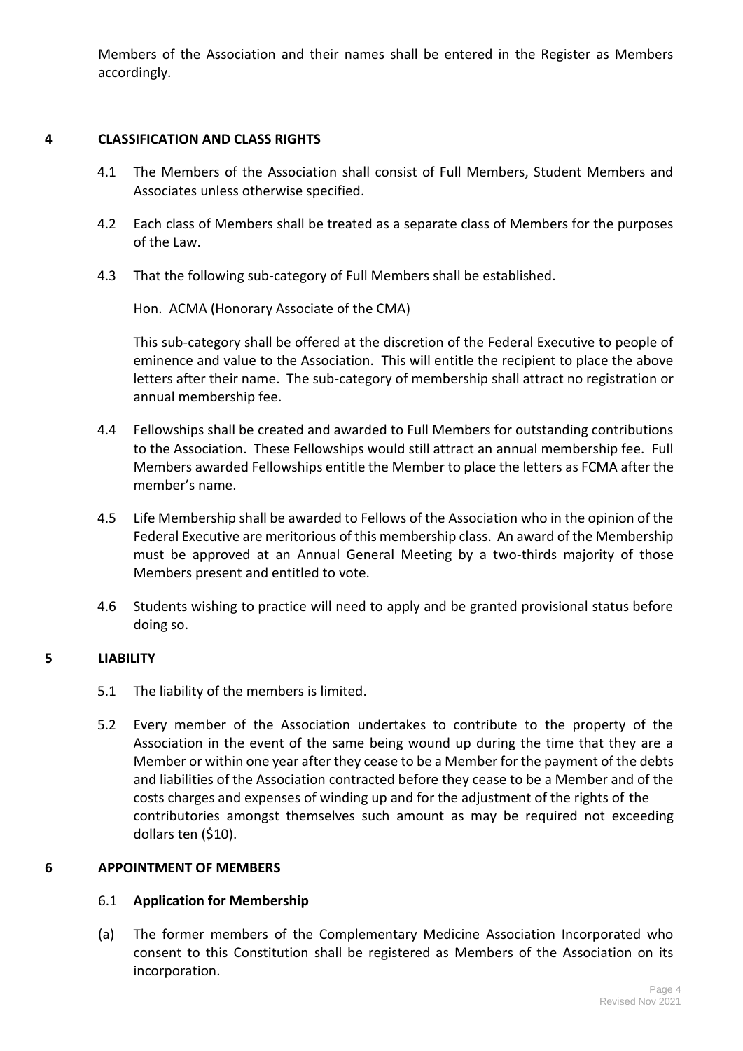Members of the Association and their names shall be entered in the Register as Members accordingly.

# **4 CLASSIFICATION AND CLASS RIGHTS**

- 4.1 The Members of the Association shall consist of Full Members, Student Members and Associates unless otherwise specified.
- 4.2 Each class of Members shall be treated as a separate class of Members for the purposes of the Law.
- 4.3 That the following sub-category of Full Members shall be established.

Hon. ACMA (Honorary Associate of the CMA)

This sub-category shall be offered at the discretion of the Federal Executive to people of eminence and value to the Association. This will entitle the recipient to place the above letters after their name. The sub-category of membership shall attract no registration or annual membership fee.

- 4.4 Fellowships shall be created and awarded to Full Members for outstanding contributions to the Association. These Fellowships would still attract an annual membership fee. Full Members awarded Fellowships entitle the Member to place the letters as FCMA after the member's name.
- 4.5 Life Membership shall be awarded to Fellows of the Association who in the opinion of the Federal Executive are meritorious of this membership class. An award of the Membership must be approved at an Annual General Meeting by a two-thirds majority of those Members present and entitled to vote.
- 4.6 Students wishing to practice will need to apply and be granted provisional status before doing so.

# **5 LIABILITY**

- 5.1 The liability of the members is limited.
- 5.2 Every member of the Association undertakes to contribute to the property of the Association in the event of the same being wound up during the time that they are a Member or within one year after they cease to be a Member for the payment of the debts and liabilities of the Association contracted before they cease to be a Member and of the costs charges and expenses of winding up and for the adjustment of the rights of the contributories amongst themselves such amount as may be required not exceeding dollars ten (\$10).

# **6 APPOINTMENT OF MEMBERS**

# 6.1 **Application for Membership**

(a) The former members of the Complementary Medicine Association Incorporated who consent to this Constitution shall be registered as Members of the Association on its incorporation.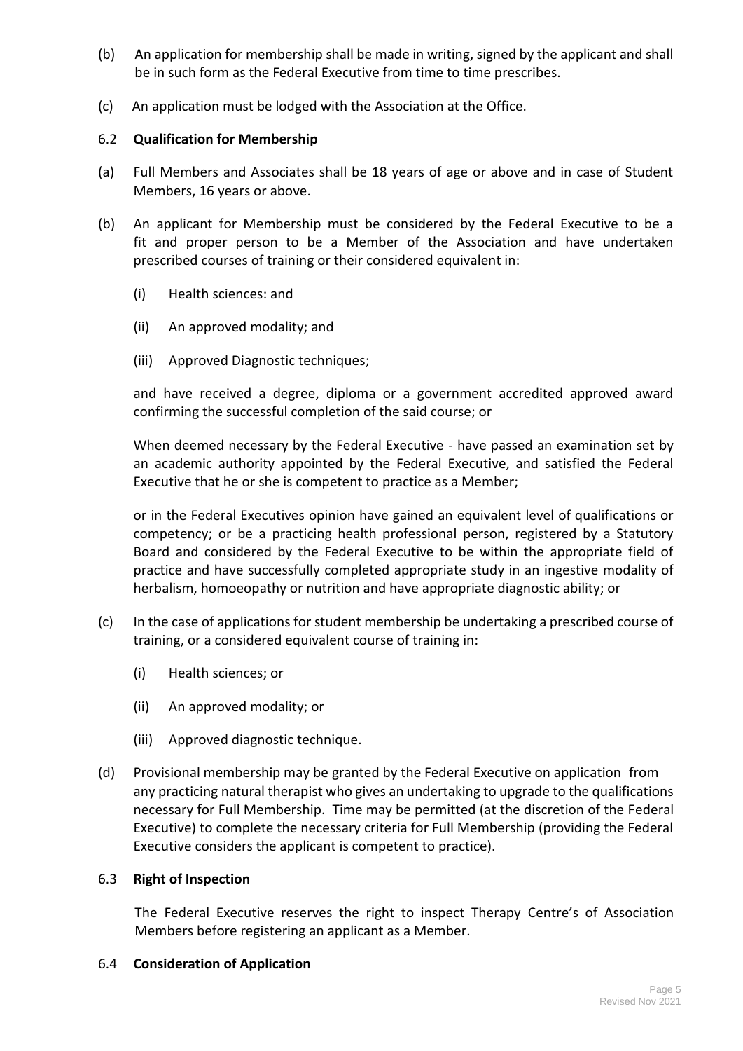- (b) An application for membership shall be made in writing, signed by the applicant and shall be in such form as the Federal Executive from time to time prescribes.
- (c) An application must be lodged with the Association at the Office.

# 6.2 **Qualification for Membership**

- (a) Full Members and Associates shall be 18 years of age or above and in case of Student Members, 16 years or above.
- (b) An applicant for Membership must be considered by the Federal Executive to be a fit and proper person to be a Member of the Association and have undertaken prescribed courses of training or their considered equivalent in:
	- (i) Health sciences: and
	- (ii) An approved modality; and
	- (iii) Approved Diagnostic techniques;

and have received a degree, diploma or a government accredited approved award confirming the successful completion of the said course; or

When deemed necessary by the Federal Executive - have passed an examination set by an academic authority appointed by the Federal Executive, and satisfied the Federal Executive that he or she is competent to practice as a Member;

or in the Federal Executives opinion have gained an equivalent level of qualifications or competency; or be a practicing health professional person, registered by a Statutory Board and considered by the Federal Executive to be within the appropriate field of practice and have successfully completed appropriate study in an ingestive modality of herbalism, homoeopathy or nutrition and have appropriate diagnostic ability; or

- (c) In the case of applications for student membership be undertaking a prescribed course of training, or a considered equivalent course of training in:
	- (i) Health sciences; or
	- (ii) An approved modality; or
	- (iii) Approved diagnostic technique.
- (d) Provisional membership may be granted by the Federal Executive on application from any practicing natural therapist who gives an undertaking to upgrade to the qualifications necessary for Full Membership. Time may be permitted (at the discretion of the Federal Executive) to complete the necessary criteria for Full Membership (providing the Federal Executive considers the applicant is competent to practice).

# 6.3 **Right of Inspection**

The Federal Executive reserves the right to inspect Therapy Centre's of Association Members before registering an applicant as a Member.

6.4 **Consideration of Application**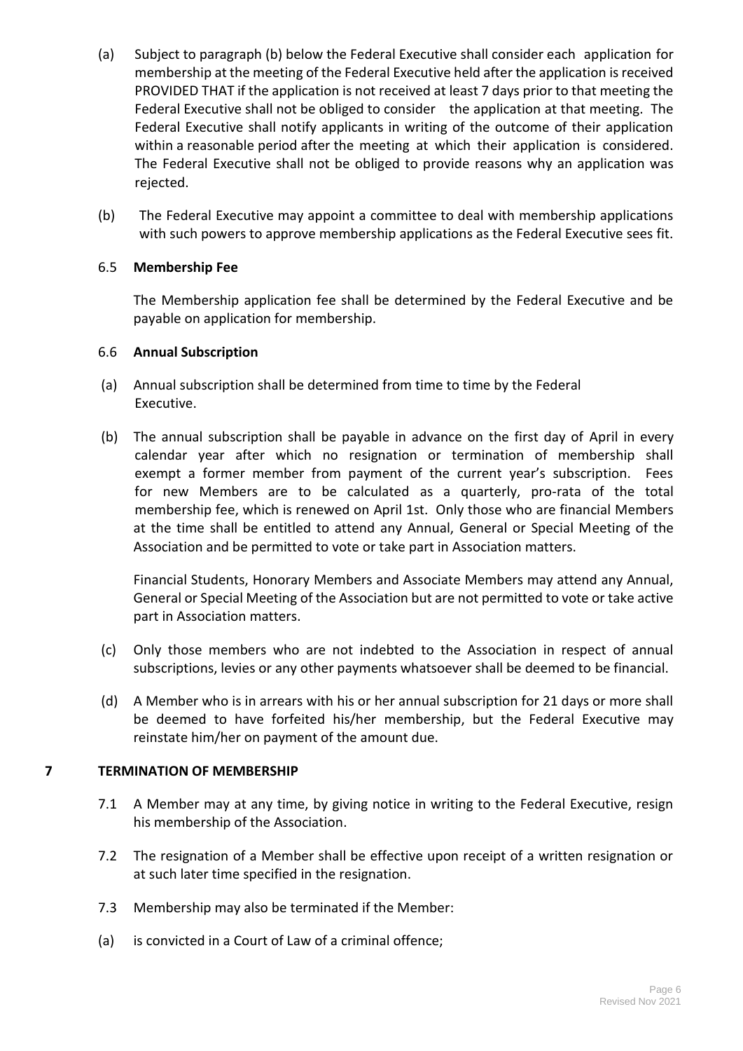- (a) Subject to paragraph (b) below the Federal Executive shall consider each application for membership at the meeting of the Federal Executive held after the application is received PROVIDED THAT if the application is not received at least 7 days prior to that meeting the Federal Executive shall not be obliged to consider the application at that meeting. The Federal Executive shall notify applicants in writing of the outcome of their application within a reasonable period after the meeting at which their application is considered. The Federal Executive shall not be obliged to provide reasons why an application was rejected.
- (b) The Federal Executive may appoint a committee to deal with membership applications with such powers to approve membership applications as the Federal Executive sees fit.

# 6.5 **Membership Fee**

The Membership application fee shall be determined by the Federal Executive and be payable on application for membership.

# 6.6 **Annual Subscription**

- (a) Annual subscription shall be determined from time to time by the Federal Executive.
- (b) The annual subscription shall be payable in advance on the first day of April in every calendar year after which no resignation or termination of membership shall exempt a former member from payment of the current year's subscription. Fees for new Members are to be calculated as a quarterly, pro-rata of the total membership fee, which is renewed on April 1st. Only those who are financial Members at the time shall be entitled to attend any Annual, General or Special Meeting of the Association and be permitted to vote or take part in Association matters.

Financial Students, Honorary Members and Associate Members may attend any Annual, General or Special Meeting of the Association but are not permitted to vote or take active part in Association matters.

- (c) Only those members who are not indebted to the Association in respect of annual subscriptions, levies or any other payments whatsoever shall be deemed to be financial.
- (d) A Member who is in arrears with his or her annual subscription for 21 days or more shall be deemed to have forfeited his/her membership, but the Federal Executive may reinstate him/her on payment of the amount due.

# **7 TERMINATION OF MEMBERSHIP**

- 7.1 A Member may at any time, by giving notice in writing to the Federal Executive, resign his membership of the Association.
- 7.2 The resignation of a Member shall be effective upon receipt of a written resignation or at such later time specified in the resignation.
- 7.3 Membership may also be terminated if the Member:
- (a) is convicted in a Court of Law of a criminal offence;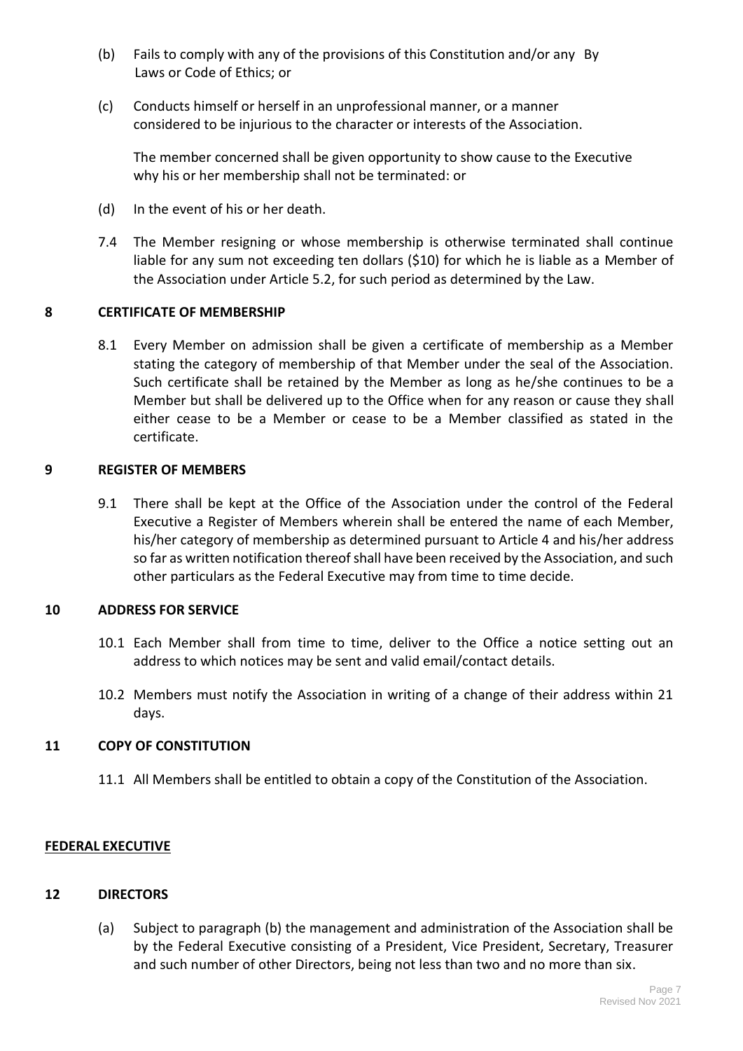- (b) Fails to comply with any of the provisions of this Constitution and/or any By Laws or Code of Ethics; or
- (c) Conducts himself or herself in an unprofessional manner, or a manner considered to be injurious to the character or interests of the Association.

The member concerned shall be given opportunity to show cause to the Executive why his or her membership shall not be terminated: or

- (d) In the event of his or her death.
- 7.4 The Member resigning or whose membership is otherwise terminated shall continue liable for any sum not exceeding ten dollars (\$10) for which he is liable as a Member of the Association under Article 5.2, for such period as determined by the Law.

# **8 CERTIFICATE OF MEMBERSHIP**

8.1 Every Member on admission shall be given a certificate of membership as a Member stating the category of membership of that Member under the seal of the Association. Such certificate shall be retained by the Member as long as he/she continues to be a Member but shall be delivered up to the Office when for any reason or cause they shall either cease to be a Member or cease to be a Member classified as stated in the certificate.

# **9 REGISTER OF MEMBERS**

9.1 There shall be kept at the Office of the Association under the control of the Federal Executive a Register of Members wherein shall be entered the name of each Member, his/her category of membership as determined pursuant to Article 4 and his/her address so far as written notification thereof shall have been received by the Association, and such other particulars as the Federal Executive may from time to time decide.

# **10 ADDRESS FOR SERVICE**

- 10.1 Each Member shall from time to time, deliver to the Office a notice setting out an address to which notices may be sent and valid email/contact details.
- 10.2 Members must notify the Association in writing of a change of their address within 21 days.

# **11 COPY OF CONSTITUTION**

11.1 All Members shall be entitled to obtain a copy of the Constitution of the Association.

# **FEDERAL EXECUTIVE**

# **12 DIRECTORS**

(a) Subject to paragraph (b) the management and administration of the Association shall be by the Federal Executive consisting of a President, Vice President, Secretary, Treasurer and such number of other Directors, being not less than two and no more than six.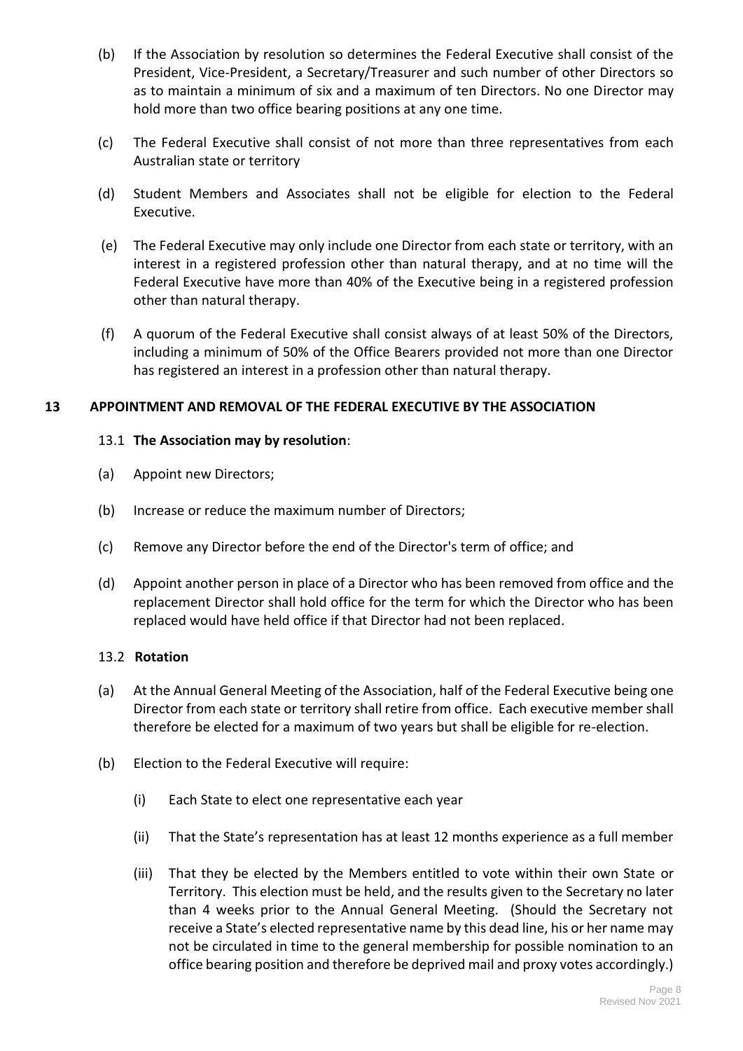- (b) If the Association by resolution so determines the Federal Executive shall consist of the President, Vice-President, a Secretary/Treasurer and such number of other Directors so as to maintain a minimum of six and a maximum of ten Directors. No one Director may hold more than two office bearing positions at any one time.
- (c) The Federal Executive shall consist of not more than three representatives from each Australian state or territory
- (d) Student Members and Associates shall not be eligible for election to the Federal Executive.
- (e) The Federal Executive may only include one Director from each state or territory, with an interest in a registered profession other than natural therapy, and at no time will the Federal Executive have more than 40% of the Executive being in a registered profession other than natural therapy.
- (f) A quorum of the Federal Executive shall consist always of at least 50% of the Directors, including a minimum of 50% of the Office Bearers provided not more than one Director has registered an interest in a profession other than natural therapy.

# **13 APPOINTMENT AND REMOVAL OF THE FEDERAL EXECUTIVE BY THE ASSOCIATION**

# 13.1 **The Association may by resolution**:

- (a) Appoint new Directors;
- (b) Increase or reduce the maximum number of Directors;
- (c) Remove any Director before the end of the Director's term of office; and
- (d) Appoint another person in place of a Director who has been removed from office and the replacement Director shall hold office for the term for which the Director who has been replaced would have held office if that Director had not been replaced.

# 13.2 **Rotation**

- (a) At the Annual General Meeting of the Association, half of the Federal Executive being one Director from each state or territory shall retire from office. Each executive member shall therefore be elected for a maximum of two years but shall be eligible for re-election.
- (b) Election to the Federal Executive will require:
	- (i) Each State to elect one representative each year
	- (ii) That the State's representation has at least 12 months experience as a full member
	- (iii) That they be elected by the Members entitled to vote within their own State or Territory. This election must be held, and the results given to the Secretary no later than 4 weeks prior to the Annual General Meeting. (Should the Secretary not receive a State's elected representative name by this dead line, his or her name may not be circulated in time to the general membership for possible nomination to an office bearing position and therefore be deprived mail and proxy votes accordingly.)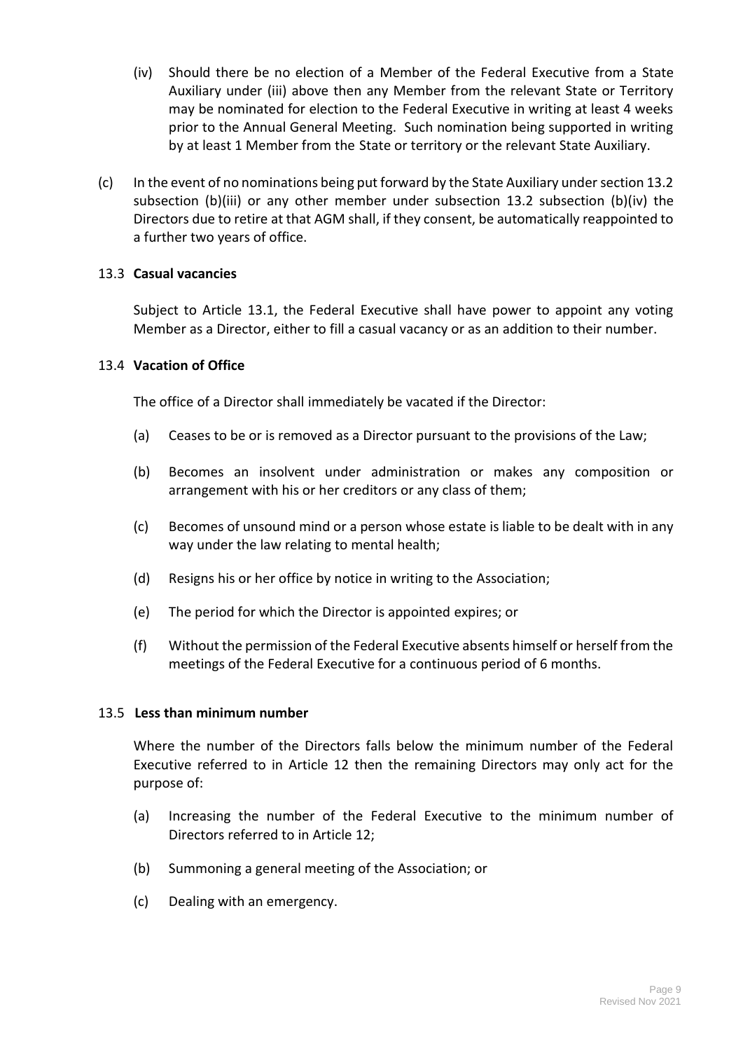- (iv) Should there be no election of a Member of the Federal Executive from a State Auxiliary under (iii) above then any Member from the relevant State or Territory may be nominated for election to the Federal Executive in writing at least 4 weeks prior to the Annual General Meeting. Such nomination being supported in writing by at least 1 Member from the State or territory or the relevant State Auxiliary.
- (c) In the event of no nominations being put forward by the State Auxiliary under section 13.2 subsection (b)(iii) or any other member under subsection 13.2 subsection (b)(iv) the Directors due to retire at that AGM shall, if they consent, be automatically reappointed to a further two years of office.

# 13.3 **Casual vacancies**

Subject to Article 13.1, the Federal Executive shall have power to appoint any voting Member as a Director, either to fill a casual vacancy or as an addition to their number.

# 13.4 **Vacation of Office**

The office of a Director shall immediately be vacated if the Director:

- (a) Ceases to be or is removed as a Director pursuant to the provisions of the Law;
- (b) Becomes an insolvent under administration or makes any composition or arrangement with his or her creditors or any class of them;
- (c) Becomes of unsound mind or a person whose estate is liable to be dealt with in any way under the law relating to mental health;
- (d) Resigns his or her office by notice in writing to the Association;
- (e) The period for which the Director is appointed expires; or
- (f) Without the permission of the Federal Executive absents himself or herself from the meetings of the Federal Executive for a continuous period of 6 months.

# 13.5 **Less than minimum number**

Where the number of the Directors falls below the minimum number of the Federal Executive referred to in Article 12 then the remaining Directors may only act for the purpose of:

- (a) Increasing the number of the Federal Executive to the minimum number of Directors referred to in Article 12;
- (b) Summoning a general meeting of the Association; or
- (c) Dealing with an emergency.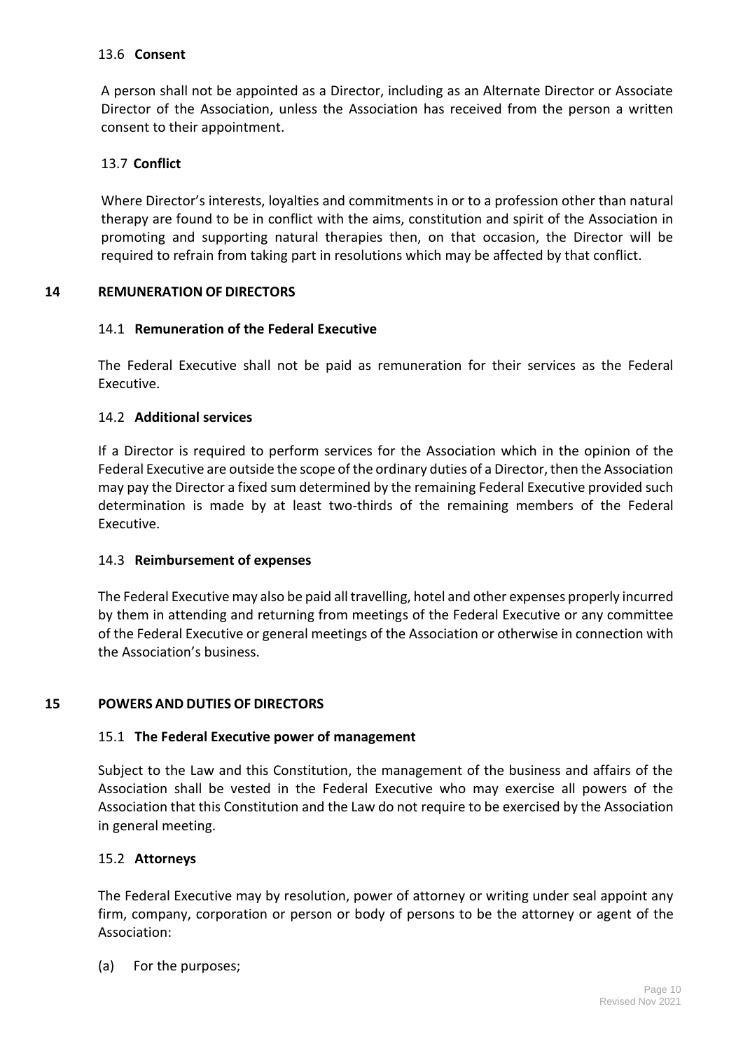# 13.6 **Consent**

A person shall not be appointed as a Director, including as an Alternate Director or Associate Director of the Association, unless the Association has received from the person a written consent to their appointment.

# 13.7 **Conflict**

Where Director's interests, loyalties and commitments in or to a profession other than natural therapy are found to be in conflict with the aims, constitution and spirit of the Association in promoting and supporting natural therapies then, on that occasion, the Director will be required to refrain from taking part in resolutions which may be affected by that conflict.

# **14 REMUNERATION OF DIRECTORS**

# 14.1 **Remuneration of the Federal Executive**

The Federal Executive shall not be paid as remuneration for their services as the Federal Executive.

#### 14.2 **Additional services**

If a Director is required to perform services for the Association which in the opinion of the Federal Executive are outside the scope of the ordinary duties of a Director, then the Association may pay the Director a fixed sum determined by the remaining Federal Executive provided such determination is made by at least two-thirds of the remaining members of the Federal Executive.

# 14.3 **Reimbursement of expenses**

The Federal Executive may also be paid all travelling, hotel and other expenses properly incurred by them in attending and returning from meetings of the Federal Executive or any committee of the Federal Executive or general meetings of the Association or otherwise in connection with the Association's business.

# **15 POWERS AND DUTIES OF DIRECTORS**

# 15.1 **The Federal Executive power of management**

Subject to the Law and this Constitution, the management of the business and affairs of the Association shall be vested in the Federal Executive who may exercise all powers of the Association that this Constitution and the Law do not require to be exercised by the Association in general meeting.

#### 15.2 **Attorneys**

The Federal Executive may by resolution, power of attorney or writing under seal appoint any firm, company, corporation or person or body of persons to be the attorney or agent of the Association:

(a) For the purposes;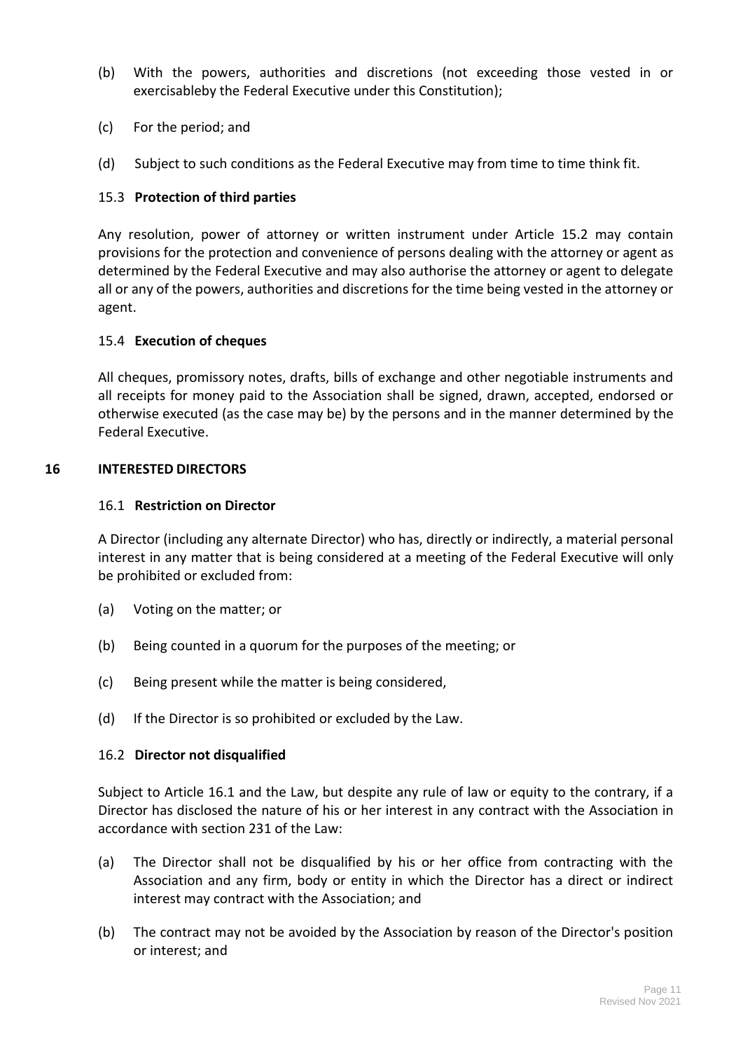- (b) With the powers, authorities and discretions (not exceeding those vested in or exercisableby the Federal Executive under this Constitution);
- (c) For the period; and
- (d) Subject to such conditions as the Federal Executive may from time to time think fit.

# 15.3 **Protection of third parties**

Any resolution, power of attorney or written instrument under Article 15.2 may contain provisions for the protection and convenience of persons dealing with the attorney or agent as determined by the Federal Executive and may also authorise the attorney or agent to delegate all or any of the powers, authorities and discretions for the time being vested in the attorney or agent.

# 15.4 **Execution of cheques**

All cheques, promissory notes, drafts, bills of exchange and other negotiable instruments and all receipts for money paid to the Association shall be signed, drawn, accepted, endorsed or otherwise executed (as the case may be) by the persons and in the manner determined by the Federal Executive.

# **16 INTERESTED DIRECTORS**

# 16.1 **Restriction on Director**

A Director (including any alternate Director) who has, directly or indirectly, a material personal interest in any matter that is being considered at a meeting of the Federal Executive will only be prohibited or excluded from:

- (a) Voting on the matter; or
- (b) Being counted in a quorum for the purposes of the meeting; or
- (c) Being present while the matter is being considered,
- (d) If the Director is so prohibited or excluded by the Law.

# 16.2 **Director not disqualified**

Subject to Article 16.1 and the Law, but despite any rule of law or equity to the contrary, if a Director has disclosed the nature of his or her interest in any contract with the Association in accordance with section 231 of the Law:

- (a) The Director shall not be disqualified by his or her office from contracting with the Association and any firm, body or entity in which the Director has a direct or indirect interest may contract with the Association; and
- (b) The contract may not be avoided by the Association by reason of the Director's position or interest; and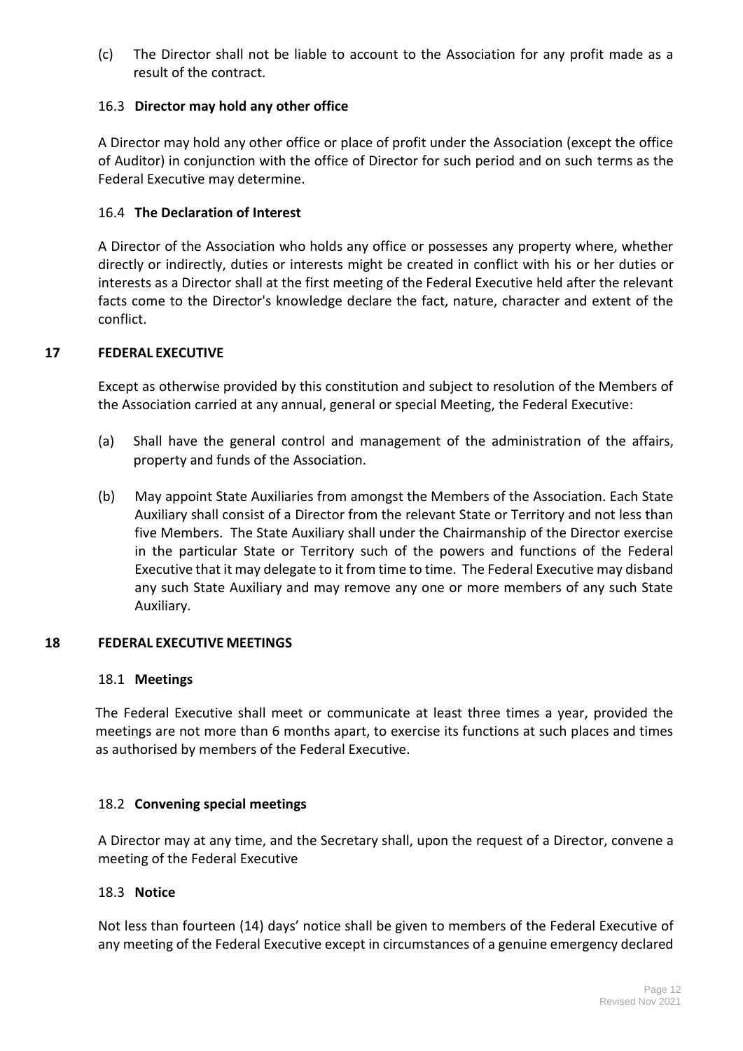(c) The Director shall not be liable to account to the Association for any profit made as a result of the contract.

# 16.3 **Director may hold any other office**

A Director may hold any other office or place of profit under the Association (except the office of Auditor) in conjunction with the office of Director for such period and on such terms as the Federal Executive may determine.

# 16.4 **The Declaration of Interest**

A Director of the Association who holds any office or possesses any property where, whether directly or indirectly, duties or interests might be created in conflict with his or her duties or interests as a Director shall at the first meeting of the Federal Executive held after the relevant facts come to the Director's knowledge declare the fact, nature, character and extent of the conflict.

# **17 FEDERAL EXECUTIVE**

Except as otherwise provided by this constitution and subject to resolution of the Members of the Association carried at any annual, general or special Meeting, the Federal Executive:

- (a) Shall have the general control and management of the administration of the affairs, property and funds of the Association.
- (b) May appoint State Auxiliaries from amongst the Members of the Association. Each State Auxiliary shall consist of a Director from the relevant State or Territory and not less than five Members. The State Auxiliary shall under the Chairmanship of the Director exercise in the particular State or Territory such of the powers and functions of the Federal Executive that it may delegate to it from time to time. The Federal Executive may disband any such State Auxiliary and may remove any one or more members of any such State Auxiliary.

# **18 FEDERAL EXECUTIVE MEETINGS**

# 18.1 **Meetings**

The Federal Executive shall meet or communicate at least three times a year, provided the meetings are not more than 6 months apart, to exercise its functions at such places and times as authorised by members of the Federal Executive.

# 18.2 **Convening special meetings**

A Director may at any time, and the Secretary shall, upon the request of a Director, convene a meeting of the Federal Executive

# 18.3 **Notice**

Not less than fourteen (14) days' notice shall be given to members of the Federal Executive of any meeting of the Federal Executive except in circumstances of a genuine emergency declared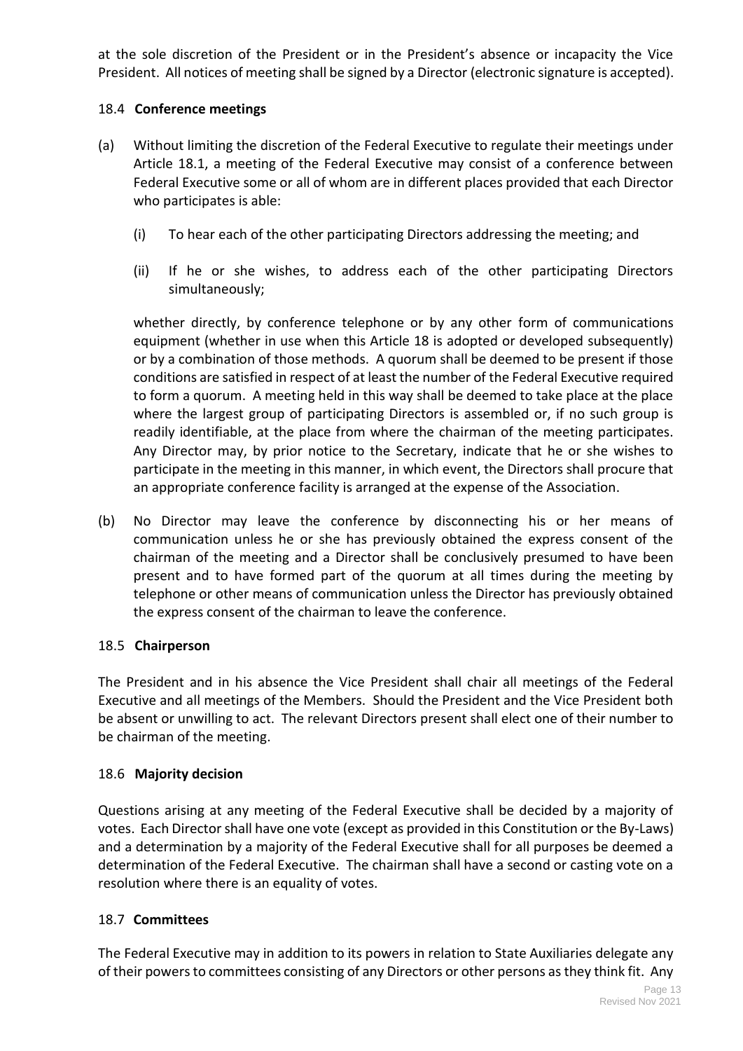at the sole discretion of the President or in the President's absence or incapacity the Vice President. All notices of meeting shall be signed by a Director (electronic signature is accepted).

# 18.4 **Conference meetings**

- (a) Without limiting the discretion of the Federal Executive to regulate their meetings under Article 18.1, a meeting of the Federal Executive may consist of a conference between Federal Executive some or all of whom are in different places provided that each Director who participates is able:
	- (i) To hear each of the other participating Directors addressing the meeting; and
	- (ii) If he or she wishes, to address each of the other participating Directors simultaneously;

whether directly, by conference telephone or by any other form of communications equipment (whether in use when this Article 18 is adopted or developed subsequently) or by a combination of those methods. A quorum shall be deemed to be present if those conditions are satisfied in respect of at least the number of the Federal Executive required to form a quorum. A meeting held in this way shall be deemed to take place at the place where the largest group of participating Directors is assembled or, if no such group is readily identifiable, at the place from where the chairman of the meeting participates. Any Director may, by prior notice to the Secretary, indicate that he or she wishes to participate in the meeting in this manner, in which event, the Directors shall procure that an appropriate conference facility is arranged at the expense of the Association.

(b) No Director may leave the conference by disconnecting his or her means of communication unless he or she has previously obtained the express consent of the chairman of the meeting and a Director shall be conclusively presumed to have been present and to have formed part of the quorum at all times during the meeting by telephone or other means of communication unless the Director has previously obtained the express consent of the chairman to leave the conference.

# 18.5 **Chairperson**

The President and in his absence the Vice President shall chair all meetings of the Federal Executive and all meetings of the Members. Should the President and the Vice President both be absent or unwilling to act. The relevant Directors present shall elect one of their number to be chairman of the meeting.

# 18.6 **Majority decision**

Questions arising at any meeting of the Federal Executive shall be decided by a majority of votes. Each Director shall have one vote (except as provided in this Constitution or the By-Laws) and a determination by a majority of the Federal Executive shall for all purposes be deemed a determination of the Federal Executive. The chairman shall have a second or casting vote on a resolution where there is an equality of votes.

# 18.7 **Committees**

The Federal Executive may in addition to its powers in relation to State Auxiliaries delegate any of their powers to committees consisting of any Directors or other persons as they think fit. Any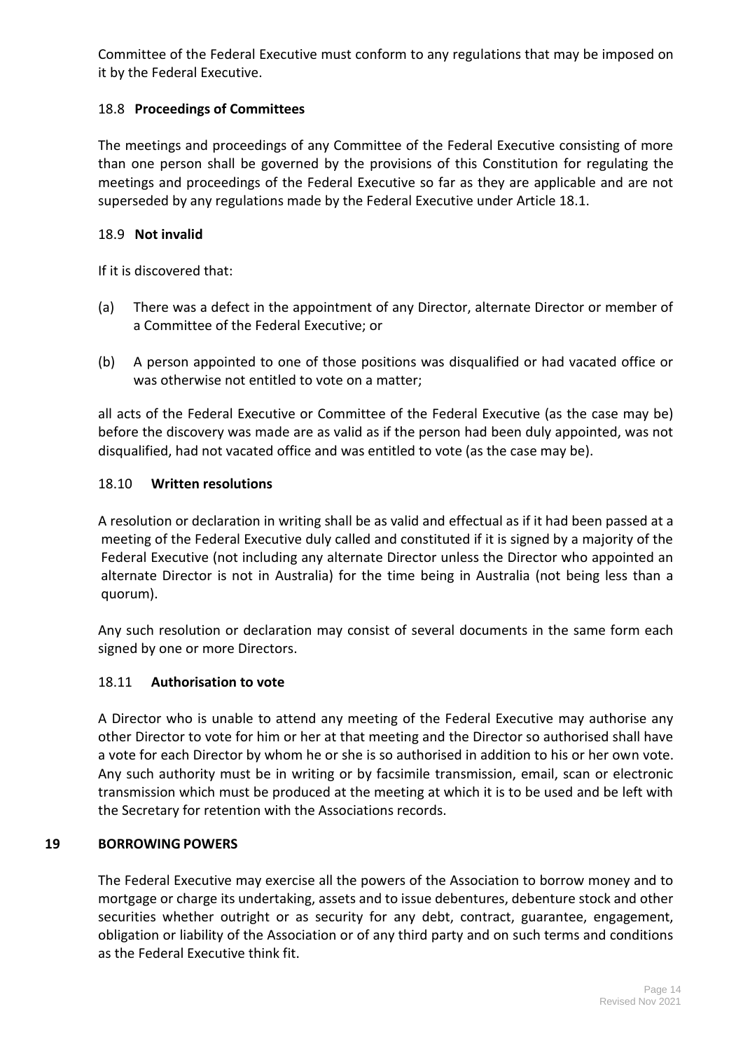Committee of the Federal Executive must conform to any regulations that may be imposed on it by the Federal Executive.

# 18.8 **Proceedings of Committees**

The meetings and proceedings of any Committee of the Federal Executive consisting of more than one person shall be governed by the provisions of this Constitution for regulating the meetings and proceedings of the Federal Executive so far as they are applicable and are not superseded by any regulations made by the Federal Executive under Article 18.1.

# 18.9 **Not invalid**

If it is discovered that:

- (a) There was a defect in the appointment of any Director, alternate Director or member of a Committee of the Federal Executive; or
- (b) A person appointed to one of those positions was disqualified or had vacated office or was otherwise not entitled to vote on a matter;

all acts of the Federal Executive or Committee of the Federal Executive (as the case may be) before the discovery was made are as valid as if the person had been duly appointed, was not disqualified, had not vacated office and was entitled to vote (as the case may be).

# 18.10 **Written resolutions**

A resolution or declaration in writing shall be as valid and effectual as if it had been passed at a meeting of the Federal Executive duly called and constituted if it is signed by a majority of the Federal Executive (not including any alternate Director unless the Director who appointed an alternate Director is not in Australia) for the time being in Australia (not being less than a quorum).

Any such resolution or declaration may consist of several documents in the same form each signed by one or more Directors.

# 18.11 **Authorisation to vote**

A Director who is unable to attend any meeting of the Federal Executive may authorise any other Director to vote for him or her at that meeting and the Director so authorised shall have a vote for each Director by whom he or she is so authorised in addition to his or her own vote. Any such authority must be in writing or by facsimile transmission, email, scan or electronic transmission which must be produced at the meeting at which it is to be used and be left with the Secretary for retention with the Associations records.

# **19 BORROWING POWERS**

The Federal Executive may exercise all the powers of the Association to borrow money and to mortgage or charge its undertaking, assets and to issue debentures, debenture stock and other securities whether outright or as security for any debt, contract, guarantee, engagement, obligation or liability of the Association or of any third party and on such terms and conditions as the Federal Executive think fit.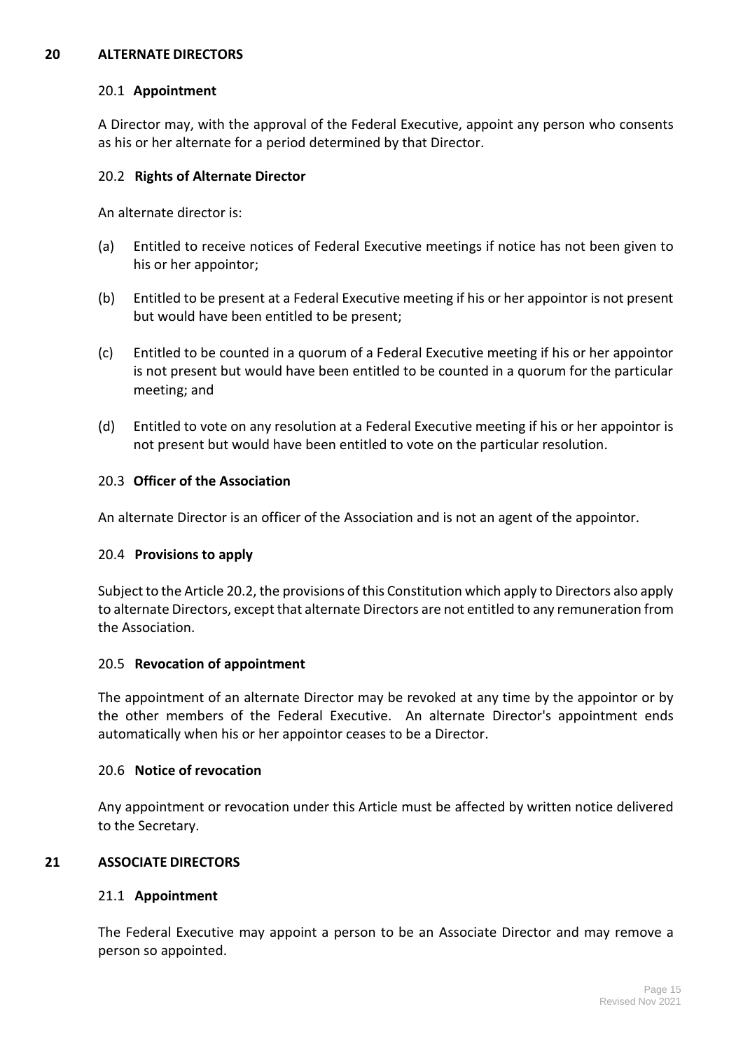#### **20 ALTERNATE DIRECTORS**

#### 20.1 **Appointment**

A Director may, with the approval of the Federal Executive, appoint any person who consents as his or her alternate for a period determined by that Director.

#### 20.2 **Rights of Alternate Director**

An alternate director is:

- (a) Entitled to receive notices of Federal Executive meetings if notice has not been given to his or her appointor;
- (b) Entitled to be present at a Federal Executive meeting if his or her appointor is not present but would have been entitled to be present;
- (c) Entitled to be counted in a quorum of a Federal Executive meeting if his or her appointor is not present but would have been entitled to be counted in a quorum for the particular meeting; and
- (d) Entitled to vote on any resolution at a Federal Executive meeting if his or her appointor is not present but would have been entitled to vote on the particular resolution.

#### 20.3 **Officer of the Association**

An alternate Director is an officer of the Association and is not an agent of the appointor.

#### 20.4 **Provisions to apply**

Subject to the Article 20.2, the provisions of this Constitution which apply to Directors also apply to alternate Directors, except that alternate Directors are not entitled to any remuneration from the Association.

# 20.5 **Revocation of appointment**

The appointment of an alternate Director may be revoked at any time by the appointor or by the other members of the Federal Executive. An alternate Director's appointment ends automatically when his or her appointor ceases to be a Director.

#### 20.6 **Notice of revocation**

Any appointment or revocation under this Article must be affected by written notice delivered to the Secretary.

# **21 ASSOCIATE DIRECTORS**

# 21.1 **Appointment**

The Federal Executive may appoint a person to be an Associate Director and may remove a person so appointed.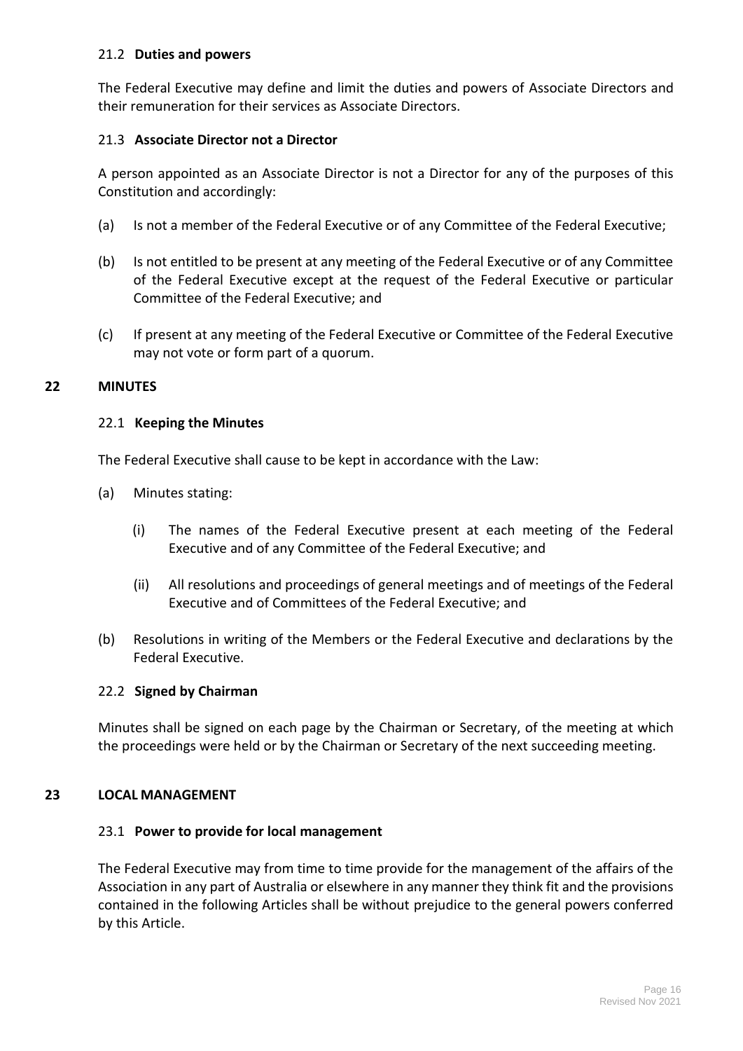# 21.2 **Duties and powers**

The Federal Executive may define and limit the duties and powers of Associate Directors and their remuneration for their services as Associate Directors.

# 21.3 **Associate Director not a Director**

A person appointed as an Associate Director is not a Director for any of the purposes of this Constitution and accordingly:

- (a) Is not a member of the Federal Executive or of any Committee of the Federal Executive;
- (b) Is not entitled to be present at any meeting of the Federal Executive or of any Committee of the Federal Executive except at the request of the Federal Executive or particular Committee of the Federal Executive; and
- (c) If present at any meeting of the Federal Executive or Committee of the Federal Executive may not vote or form part of a quorum.

#### **22 MINUTES**

#### 22.1 **Keeping the Minutes**

The Federal Executive shall cause to be kept in accordance with the Law:

- (a) Minutes stating:
	- (i) The names of the Federal Executive present at each meeting of the Federal Executive and of any Committee of the Federal Executive; and
	- (ii) All resolutions and proceedings of general meetings and of meetings of the Federal Executive and of Committees of the Federal Executive; and
- (b) Resolutions in writing of the Members or the Federal Executive and declarations by the Federal Executive.

#### 22.2 **Signed by Chairman**

Minutes shall be signed on each page by the Chairman or Secretary, of the meeting at which the proceedings were held or by the Chairman or Secretary of the next succeeding meeting.

#### **23 LOCAL MANAGEMENT**

#### 23.1 **Power to provide for local management**

The Federal Executive may from time to time provide for the management of the affairs of the Association in any part of Australia or elsewhere in any manner they think fit and the provisions contained in the following Articles shall be without prejudice to the general powers conferred by this Article.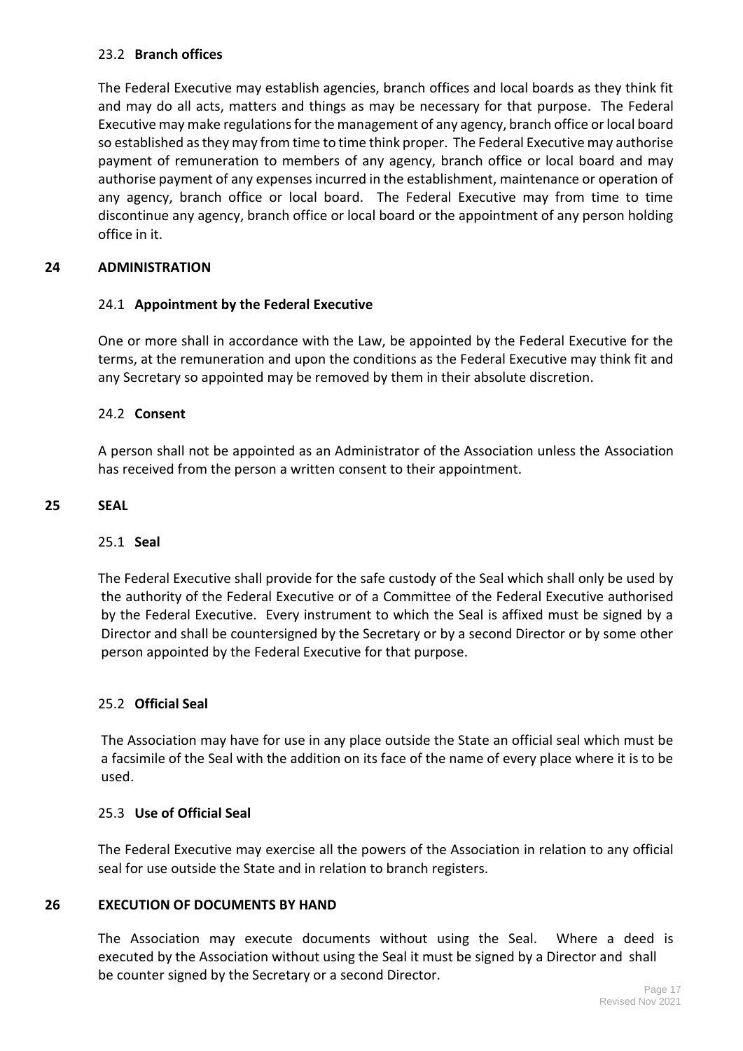# 23.2 **Branch offices**

The Federal Executive may establish agencies, branch offices and local boards as they think fit and may do all acts, matters and things as may be necessary for that purpose. The Federal Executive may make regulations for the management of any agency, branch office or local board so established as they may from time to time think proper. The Federal Executive may authorise payment of remuneration to members of any agency, branch office or local board and may authorise payment of any expenses incurred in the establishment, maintenance or operation of any agency, branch office or local board. The Federal Executive may from time to time discontinue any agency, branch office or local board or the appointment of any person holding office in it.

# **24 ADMINISTRATION**

# 24.1 **Appointment by the Federal Executive**

One or more shall in accordance with the Law, be appointed by the Federal Executive for the terms, at the remuneration and upon the conditions as the Federal Executive may think fit and any Secretary so appointed may be removed by them in their absolute discretion.

# 24.2 **Consent**

A person shall not be appointed as an Administrator of the Association unless the Association has received from the person a written consent to their appointment.

# **25 SEAL**

# 25.1 **Seal**

The Federal Executive shall provide for the safe custody of the Seal which shall only be used by the authority of the Federal Executive or of a Committee of the Federal Executive authorised by the Federal Executive. Every instrument to which the Seal is affixed must be signed by a Director and shall be countersigned by the Secretary or by a second Director or by some other person appointed by the Federal Executive for that purpose.

# 25.2 **Official Seal**

The Association may have for use in any place outside the State an official seal which must be a facsimile of the Seal with the addition on its face of the name of every place where it is to be used.

# 25.3 **Use of Official Seal**

The Federal Executive may exercise all the powers of the Association in relation to any official seal for use outside the State and in relation to branch registers.

# **26 EXECUTION OF DOCUMENTS BY HAND**

The Association may execute documents without using the Seal. Where a deed is executed by the Association without using the Seal it must be signed by a Director and shall be counter signed by the Secretary or a second Director.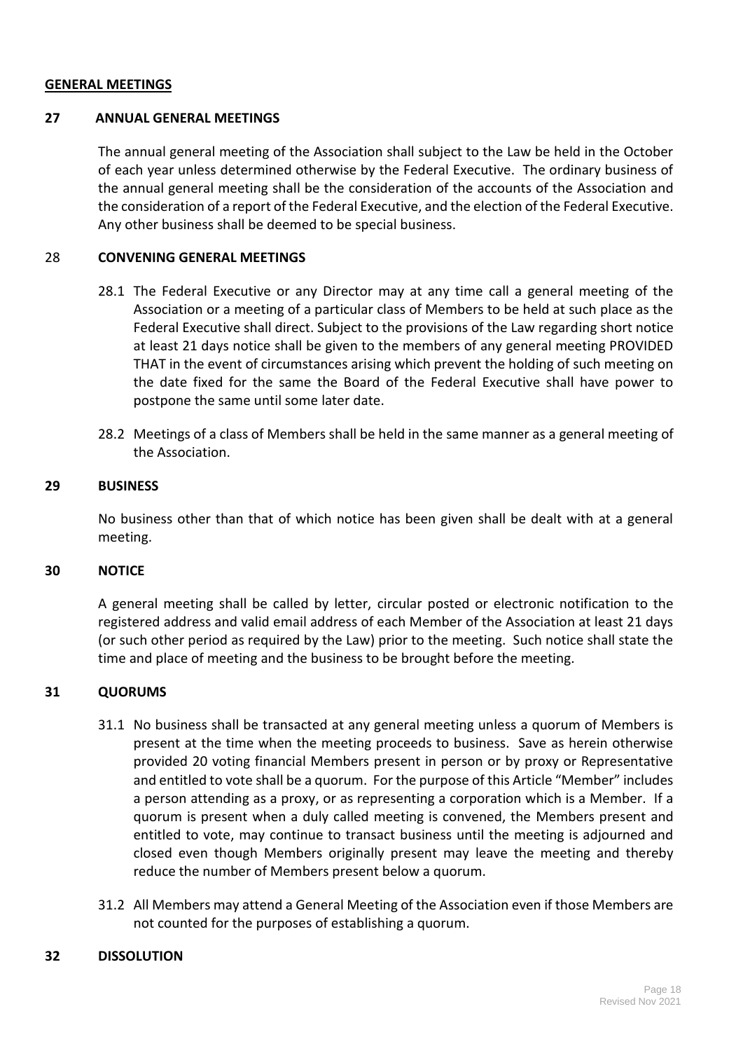#### **GENERAL MEETINGS**

# **27 ANNUAL GENERAL MEETINGS**

The annual general meeting of the Association shall subject to the Law be held in the October of each year unless determined otherwise by the Federal Executive. The ordinary business of the annual general meeting shall be the consideration of the accounts of the Association and the consideration of a report of the Federal Executive, and the election of the Federal Executive. Any other business shall be deemed to be special business.

#### 28 **CONVENING GENERAL MEETINGS**

- 28.1 The Federal Executive or any Director may at any time call a general meeting of the Association or a meeting of a particular class of Members to be held at such place as the Federal Executive shall direct. Subject to the provisions of the Law regarding short notice at least 21 days notice shall be given to the members of any general meeting PROVIDED THAT in the event of circumstances arising which prevent the holding of such meeting on the date fixed for the same the Board of the Federal Executive shall have power to postpone the same until some later date.
- 28.2 Meetings of a class of Members shall be held in the same manner as a general meeting of the Association.

#### **29 BUSINESS**

No business other than that of which notice has been given shall be dealt with at a general meeting.

#### **30 NOTICE**

A general meeting shall be called by letter, circular posted or electronic notification to the registered address and valid email address of each Member of the Association at least 21 days (or such other period as required by the Law) prior to the meeting. Such notice shall state the time and place of meeting and the business to be brought before the meeting.

#### **31 QUORUMS**

- 31.1 No business shall be transacted at any general meeting unless a quorum of Members is present at the time when the meeting proceeds to business. Save as herein otherwise provided 20 voting financial Members present in person or by proxy or Representative and entitled to vote shall be a quorum. For the purpose of this Article "Member" includes a person attending as a proxy, or as representing a corporation which is a Member. If a quorum is present when a duly called meeting is convened, the Members present and entitled to vote, may continue to transact business until the meeting is adjourned and closed even though Members originally present may leave the meeting and thereby reduce the number of Members present below a quorum.
- 31.2 All Members may attend a General Meeting of the Association even if those Members are not counted for the purposes of establishing a quorum.

#### **32 DISSOLUTION**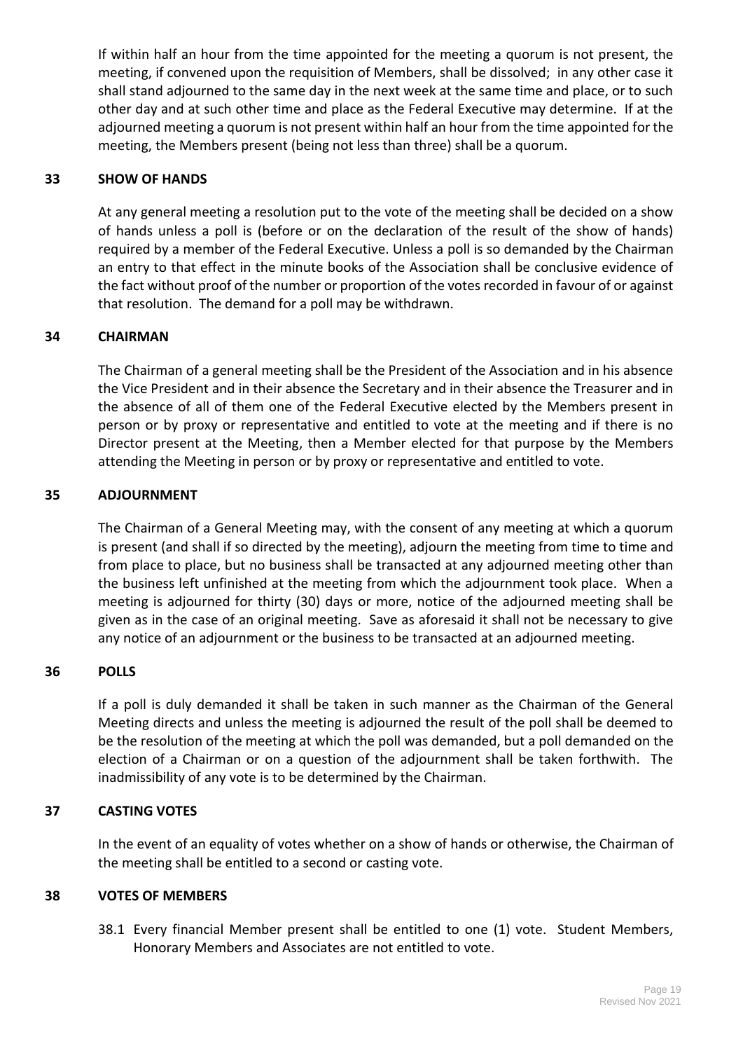If within half an hour from the time appointed for the meeting a quorum is not present, the meeting, if convened upon the requisition of Members, shall be dissolved; in any other case it shall stand adjourned to the same day in the next week at the same time and place, or to such other day and at such other time and place as the Federal Executive may determine. If at the adjourned meeting a quorum is not present within half an hour from the time appointed for the meeting, the Members present (being not less than three) shall be a quorum.

# **33 SHOW OF HANDS**

At any general meeting a resolution put to the vote of the meeting shall be decided on a show of hands unless a poll is (before or on the declaration of the result of the show of hands) required by a member of the Federal Executive. Unless a poll is so demanded by the Chairman an entry to that effect in the minute books of the Association shall be conclusive evidence of the fact without proof of the number or proportion of the votes recorded in favour of or against that resolution. The demand for a poll may be withdrawn.

# **34 CHAIRMAN**

The Chairman of a general meeting shall be the President of the Association and in his absence the Vice President and in their absence the Secretary and in their absence the Treasurer and in the absence of all of them one of the Federal Executive elected by the Members present in person or by proxy or representative and entitled to vote at the meeting and if there is no Director present at the Meeting, then a Member elected for that purpose by the Members attending the Meeting in person or by proxy or representative and entitled to vote.

# **35 ADJOURNMENT**

The Chairman of a General Meeting may, with the consent of any meeting at which a quorum is present (and shall if so directed by the meeting), adjourn the meeting from time to time and from place to place, but no business shall be transacted at any adjourned meeting other than the business left unfinished at the meeting from which the adjournment took place. When a meeting is adjourned for thirty (30) days or more, notice of the adjourned meeting shall be given as in the case of an original meeting. Save as aforesaid it shall not be necessary to give any notice of an adjournment or the business to be transacted at an adjourned meeting.

# **36 POLLS**

If a poll is duly demanded it shall be taken in such manner as the Chairman of the General Meeting directs and unless the meeting is adjourned the result of the poll shall be deemed to be the resolution of the meeting at which the poll was demanded, but a poll demanded on the election of a Chairman or on a question of the adjournment shall be taken forthwith. The inadmissibility of any vote is to be determined by the Chairman.

# **37 CASTING VOTES**

In the event of an equality of votes whether on a show of hands or otherwise, the Chairman of the meeting shall be entitled to a second or casting vote.

# **38 VOTES OF MEMBERS**

38.1 Every financial Member present shall be entitled to one (1) vote. Student Members, Honorary Members and Associates are not entitled to vote.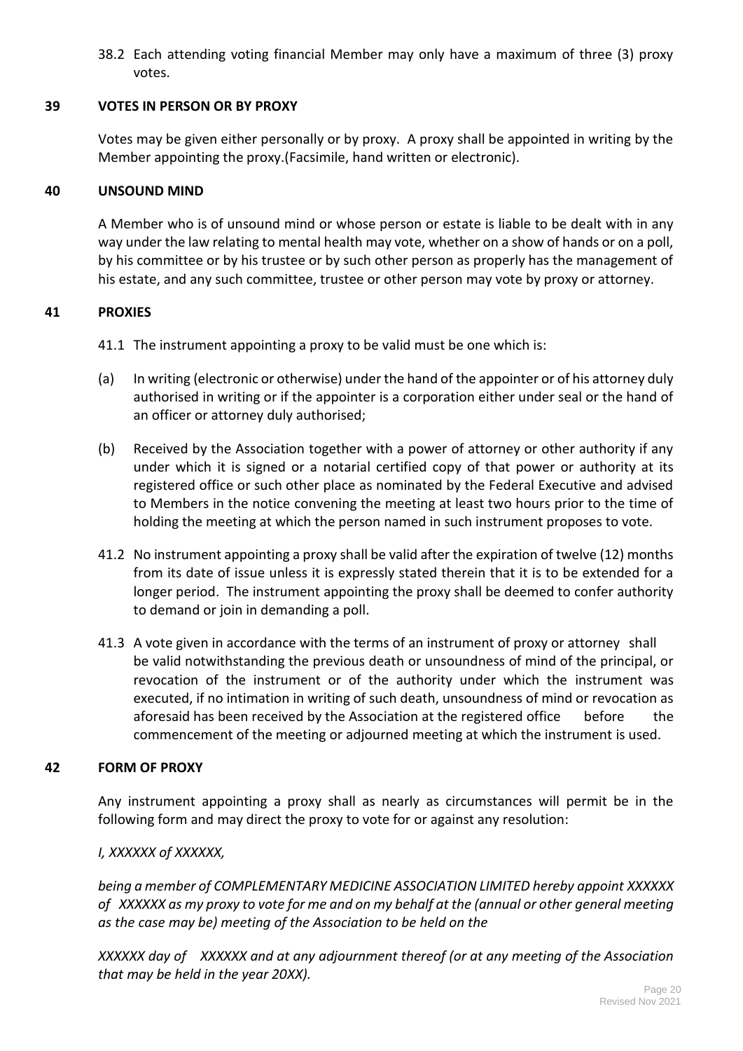38.2 Each attending voting financial Member may only have a maximum of three (3) proxy votes.

# **39 VOTES IN PERSON OR BY PROXY**

Votes may be given either personally or by proxy. A proxy shall be appointed in writing by the Member appointing the proxy.(Facsimile, hand written or electronic).

# **40 UNSOUND MIND**

A Member who is of unsound mind or whose person or estate is liable to be dealt with in any way under the law relating to mental health may vote, whether on a show of hands or on a poll, by his committee or by his trustee or by such other person as properly has the management of his estate, and any such committee, trustee or other person may vote by proxy or attorney.

# **41 PROXIES**

41.1 The instrument appointing a proxy to be valid must be one which is:

- (a) In writing (electronic or otherwise) under the hand of the appointer or of his attorney duly authorised in writing or if the appointer is a corporation either under seal or the hand of an officer or attorney duly authorised;
- (b) Received by the Association together with a power of attorney or other authority if any under which it is signed or a notarial certified copy of that power or authority at its registered office or such other place as nominated by the Federal Executive and advised to Members in the notice convening the meeting at least two hours prior to the time of holding the meeting at which the person named in such instrument proposes to vote.
- 41.2 No instrument appointing a proxy shall be valid after the expiration of twelve (12) months from its date of issue unless it is expressly stated therein that it is to be extended for a longer period. The instrument appointing the proxy shall be deemed to confer authority to demand or join in demanding a poll.
- 41.3 A vote given in accordance with the terms of an instrument of proxy or attorney shall be valid notwithstanding the previous death or unsoundness of mind of the principal, or revocation of the instrument or of the authority under which the instrument was executed, if no intimation in writing of such death, unsoundness of mind or revocation as aforesaid has been received by the Association at the registered office before the commencement of the meeting or adjourned meeting at which the instrument is used.

# **42 FORM OF PROXY**

Any instrument appointing a proxy shall as nearly as circumstances will permit be in the following form and may direct the proxy to vote for or against any resolution:

# *I, XXXXXX of XXXXXX,*

*being a member of COMPLEMENTARY MEDICINE ASSOCIATION LIMITED hereby appoint XXXXXX of XXXXXX as my proxy to vote for me and on my behalf at the (annual or other general meeting as the case may be) meeting of the Association to be held on the*

*XXXXXX day of XXXXXX and at any adjournment thereof (or at any meeting of the Association that may be held in the year 20XX).*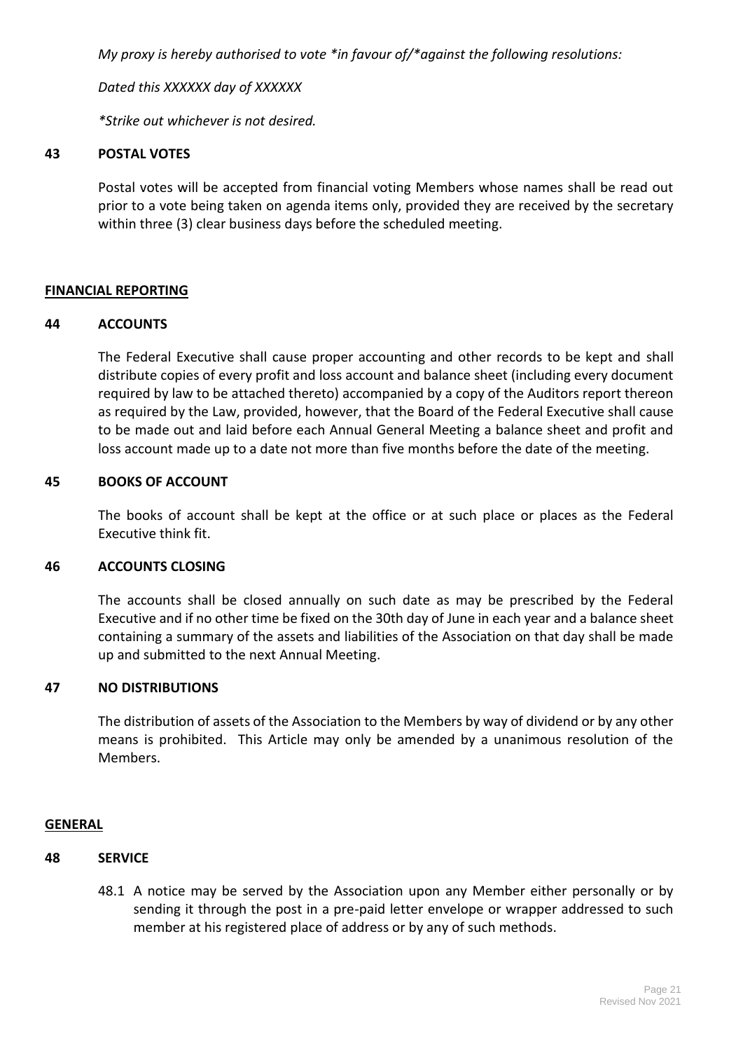*My proxy is hereby authorised to vote \*in favour of/\*against the following resolutions:*

*Dated this XXXXXX day of XXXXXX*

*\*Strike out whichever is not desired.*

#### **43 POSTAL VOTES**

Postal votes will be accepted from financial voting Members whose names shall be read out prior to a vote being taken on agenda items only, provided they are received by the secretary within three (3) clear business days before the scheduled meeting.

# **FINANCIAL REPORTING**

#### **44 ACCOUNTS**

The Federal Executive shall cause proper accounting and other records to be kept and shall distribute copies of every profit and loss account and balance sheet (including every document required by law to be attached thereto) accompanied by a copy of the Auditors report thereon as required by the Law, provided, however, that the Board of the Federal Executive shall cause to be made out and laid before each Annual General Meeting a balance sheet and profit and loss account made up to a date not more than five months before the date of the meeting.

#### **45 BOOKS OF ACCOUNT**

The books of account shall be kept at the office or at such place or places as the Federal Executive think fit.

#### **46 ACCOUNTS CLOSING**

The accounts shall be closed annually on such date as may be prescribed by the Federal Executive and if no other time be fixed on the 30th day of June in each year and a balance sheet containing a summary of the assets and liabilities of the Association on that day shall be made up and submitted to the next Annual Meeting.

#### **47 NO DISTRIBUTIONS**

The distribution of assets of the Association to the Members by way of dividend or by any other means is prohibited. This Article may only be amended by a unanimous resolution of the Members.

# **GENERAL**

# **48 SERVICE**

48.1 A notice may be served by the Association upon any Member either personally or by sending it through the post in a pre-paid letter envelope or wrapper addressed to such member at his registered place of address or by any of such methods.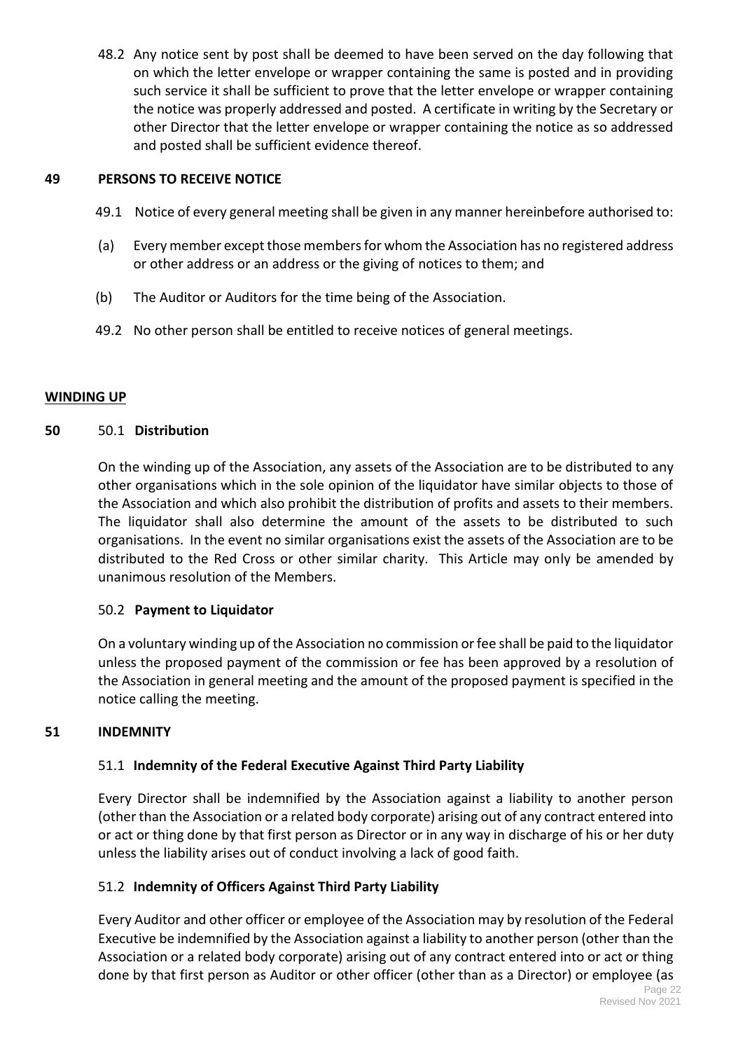48.2 Any notice sent by post shall be deemed to have been served on the day following that on which the letter envelope or wrapper containing the same is posted and in providing such service it shall be sufficient to prove that the letter envelope or wrapper containing the notice was properly addressed and posted. A certificate in writing by the Secretary or other Director that the letter envelope or wrapper containing the notice as so addressed and posted shall be sufficient evidence thereof.

# **49 PERSONS TO RECEIVE NOTICE**

- 49.1 Notice of every general meeting shall be given in any manner hereinbefore authorised to:
- (a) Every member except those members for whom the Association has no registered address or other address or an address or the giving of notices to them; and
- (b) The Auditor or Auditors for the time being of the Association.
- 49.2 No other person shall be entitled to receive notices of general meetings.

# **WINDING UP**

# **50** 50.1 **Distribution**

On the winding up of the Association, any assets of the Association are to be distributed to any other organisations which in the sole opinion of the liquidator have similar objects to those of the Association and which also prohibit the distribution of profits and assets to their members. The liquidator shall also determine the amount of the assets to be distributed to such organisations. In the event no similar organisations exist the assets of the Association are to be distributed to the Red Cross or other similar charity. This Article may only be amended by unanimous resolution of the Members.

# 50.2 **Payment to Liquidator**

On a voluntary winding up of the Association no commission or fee shall be paid to the liquidator unless the proposed payment of the commission or fee has been approved by a resolution of the Association in general meeting and the amount of the proposed payment is specified in the notice calling the meeting.

# **51 INDEMNITY**

# 51.1 **Indemnity of the Federal Executive Against Third Party Liability**

Every Director shall be indemnified by the Association against a liability to another person (other than the Association or a related body corporate) arising out of any contract entered into or act or thing done by that first person as Director or in any way in discharge of his or her duty unless the liability arises out of conduct involving a lack of good faith.

# 51.2 **Indemnity of Officers Against Third Party Liability**

Every Auditor and other officer or employee of the Association may by resolution of the Federal Executive be indemnified by the Association against a liability to another person (other than the Association or a related body corporate) arising out of any contract entered into or act or thing done by that first person as Auditor or other officer (other than as a Director) or employee (as